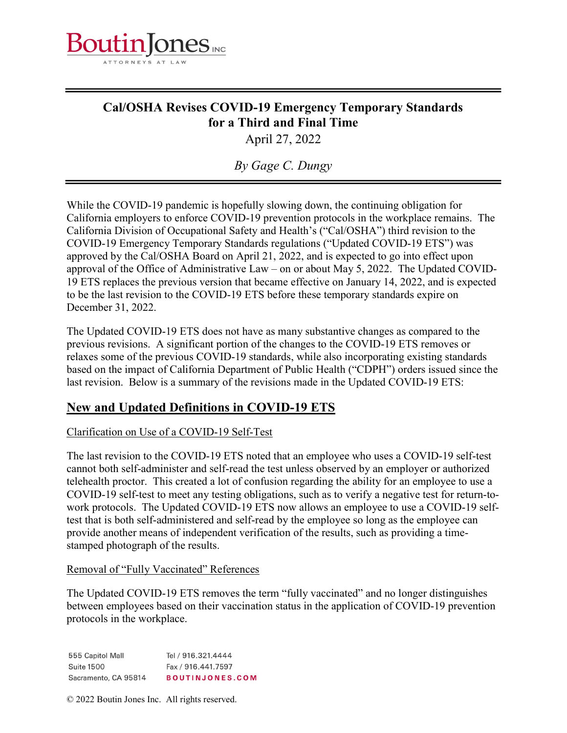

# Cal/OSHA Revises COVID-19 Emergency Temporary Standards for a Third and Final Time

April 27, 2022

By Gage C. Dungy

While the COVID-19 pandemic is hopefully slowing down, the continuing obligation for California employers to enforce COVID-19 prevention protocols in the workplace remains. The California Division of Occupational Safety and Health's ("Cal/OSHA") third revision to the COVID-19 Emergency Temporary Standards regulations ("Updated COVID-19 ETS") was approved by the Cal/OSHA Board on April 21, 2022, and is expected to go into effect upon approval of the Office of Administrative Law – on or about May 5, 2022. The Updated COVID-19 ETS replaces the previous version that became effective on January 14, 2022, and is expected to be the last revision to the COVID-19 ETS before these temporary standards expire on December 31, 2022.

The Updated COVID-19 ETS does not have as many substantive changes as compared to the previous revisions. A significant portion of the changes to the COVID-19 ETS removes or relaxes some of the previous COVID-19 standards, while also incorporating existing standards based on the impact of California Department of Public Health ("CDPH") orders issued since the last revision. Below is a summary of the revisions made in the Updated COVID-19 ETS:

## New and Updated Definitions in COVID-19 ETS

### Clarification on Use of a COVID-19 Self-Test

The last revision to the COVID-19 ETS noted that an employee who uses a COVID-19 self-test cannot both self-administer and self-read the test unless observed by an employer or authorized telehealth proctor. This created a lot of confusion regarding the ability for an employee to use a COVID-19 self-test to meet any testing obligations, such as to verify a negative test for return-towork protocols. The Updated COVID-19 ETS now allows an employee to use a COVID-19 selftest that is both self-administered and self-read by the employee so long as the employee can provide another means of independent verification of the results, such as providing a timestamped photograph of the results.

#### Removal of "Fully Vaccinated" References

The Updated COVID-19 ETS removes the term "fully vaccinated" and no longer distinguishes between employees based on their vaccination status in the application of COVID-19 prevention protocols in the workplace.

555 Capitol Mall Tel / 916.321.4444 **Suite 1500** Fax / 916.441.7597 Sacramento, CA 95814 **BOUTINJONES.COM** 

© 2022 Boutin Jones Inc. All rights reserved.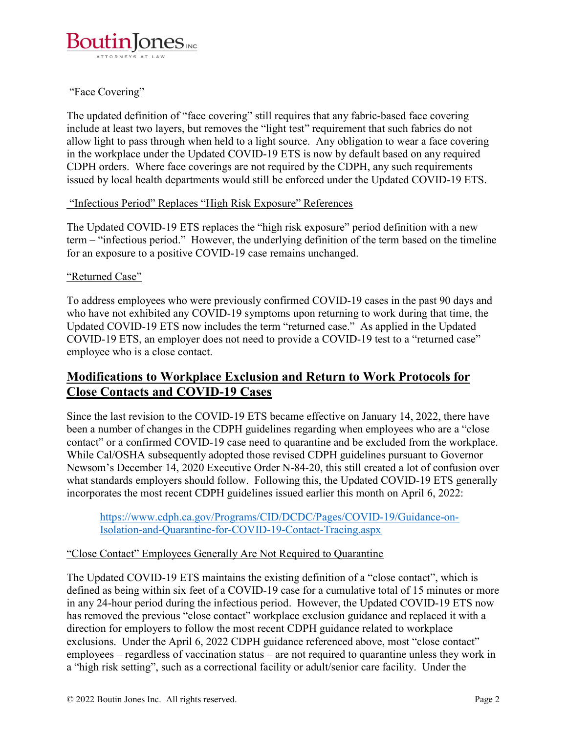

#### "Face Covering"

The updated definition of "face covering" still requires that any fabric-based face covering include at least two layers, but removes the "light test" requirement that such fabrics do not allow light to pass through when held to a light source. Any obligation to wear a face covering in the workplace under the Updated COVID-19 ETS is now by default based on any required CDPH orders. Where face coverings are not required by the CDPH, any such requirements issued by local health departments would still be enforced under the Updated COVID-19 ETS.

#### "Infectious Period" Replaces "High Risk Exposure" References

The Updated COVID-19 ETS replaces the "high risk exposure" period definition with a new term – "infectious period." However, the underlying definition of the term based on the timeline for an exposure to a positive COVID-19 case remains unchanged.

#### "Returned Case"

To address employees who were previously confirmed COVID-19 cases in the past 90 days and who have not exhibited any COVID-19 symptoms upon returning to work during that time, the Updated COVID-19 ETS now includes the term "returned case." As applied in the Updated COVID-19 ETS, an employer does not need to provide a COVID-19 test to a "returned case" employee who is a close contact.

## Modifications to Workplace Exclusion and Return to Work Protocols for Close Contacts and COVID-19 Cases

Since the last revision to the COVID-19 ETS became effective on January 14, 2022, there have been a number of changes in the CDPH guidelines regarding when employees who are a "close contact" or a confirmed COVID-19 case need to quarantine and be excluded from the workplace. While Cal/OSHA subsequently adopted those revised CDPH guidelines pursuant to Governor Newsom's December 14, 2020 Executive Order N-84-20, this still created a lot of confusion over what standards employers should follow. Following this, the Updated COVID-19 ETS generally incorporates the most recent CDPH guidelines issued earlier this month on April 6, 2022:

https://www.cdph.ca.gov/Programs/CID/DCDC/Pages/COVID-19/Guidance-on-Isolation-and-Quarantine-for-COVID-19-Contact-Tracing.aspx

#### "Close Contact" Employees Generally Are Not Required to Quarantine

The Updated COVID-19 ETS maintains the existing definition of a "close contact", which is defined as being within six feet of a COVID-19 case for a cumulative total of 15 minutes or more in any 24-hour period during the infectious period. However, the Updated COVID-19 ETS now has removed the previous "close contact" workplace exclusion guidance and replaced it with a direction for employers to follow the most recent CDPH guidance related to workplace exclusions. Under the April 6, 2022 CDPH guidance referenced above, most "close contact" employees – regardless of vaccination status – are not required to quarantine unless they work in a "high risk setting", such as a correctional facility or adult/senior care facility. Under the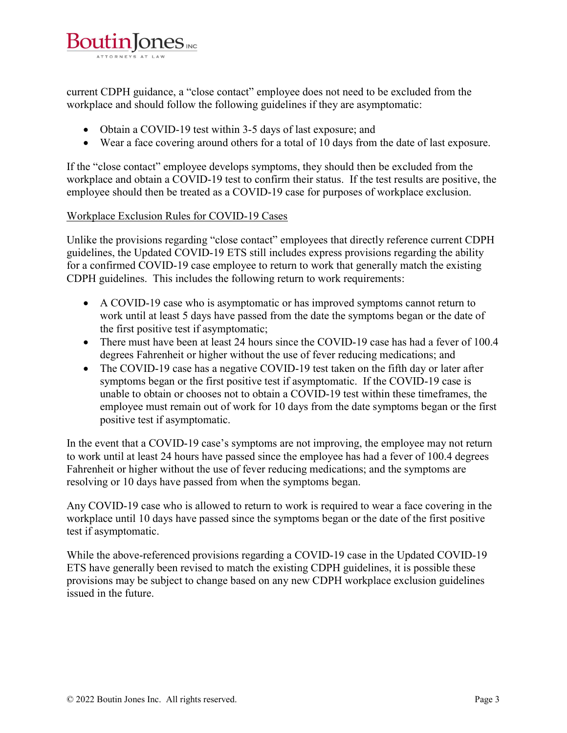

current CDPH guidance, a "close contact" employee does not need to be excluded from the workplace and should follow the following guidelines if they are asymptomatic:

- Obtain a COVID-19 test within 3-5 days of last exposure; and
- Wear a face covering around others for a total of 10 days from the date of last exposure.

If the "close contact" employee develops symptoms, they should then be excluded from the workplace and obtain a COVID-19 test to confirm their status. If the test results are positive, the employee should then be treated as a COVID-19 case for purposes of workplace exclusion.

#### Workplace Exclusion Rules for COVID-19 Cases

Unlike the provisions regarding "close contact" employees that directly reference current CDPH guidelines, the Updated COVID-19 ETS still includes express provisions regarding the ability for a confirmed COVID-19 case employee to return to work that generally match the existing CDPH guidelines. This includes the following return to work requirements:

- A COVID-19 case who is asymptomatic or has improved symptoms cannot return to work until at least 5 days have passed from the date the symptoms began or the date of the first positive test if asymptomatic;
- There must have been at least 24 hours since the COVID-19 case has had a fever of 100.4 degrees Fahrenheit or higher without the use of fever reducing medications; and
- The COVID-19 case has a negative COVID-19 test taken on the fifth day or later after symptoms began or the first positive test if asymptomatic. If the COVID-19 case is unable to obtain or chooses not to obtain a COVID-19 test within these timeframes, the employee must remain out of work for 10 days from the date symptoms began or the first positive test if asymptomatic.

In the event that a COVID-19 case's symptoms are not improving, the employee may not return to work until at least 24 hours have passed since the employee has had a fever of 100.4 degrees Fahrenheit or higher without the use of fever reducing medications; and the symptoms are resolving or 10 days have passed from when the symptoms began.

Any COVID-19 case who is allowed to return to work is required to wear a face covering in the workplace until 10 days have passed since the symptoms began or the date of the first positive test if asymptomatic.

While the above-referenced provisions regarding a COVID-19 case in the Updated COVID-19 ETS have generally been revised to match the existing CDPH guidelines, it is possible these provisions may be subject to change based on any new CDPH workplace exclusion guidelines issued in the future.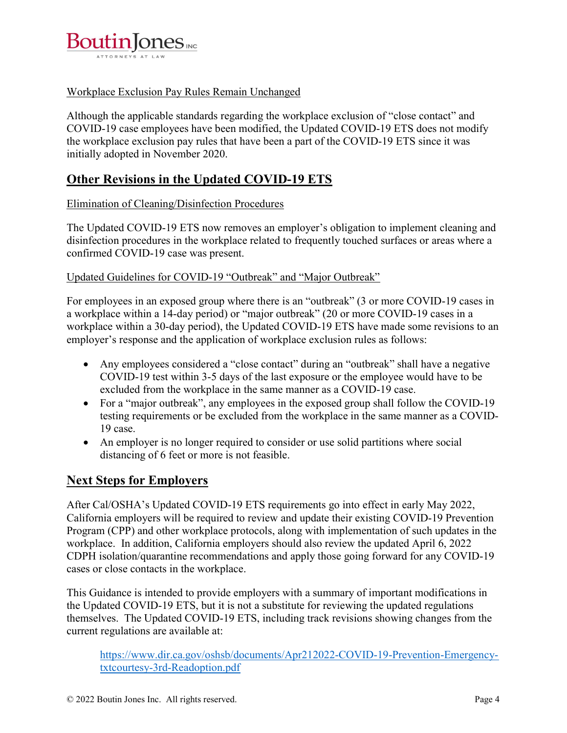

### Workplace Exclusion Pay Rules Remain Unchanged

Although the applicable standards regarding the workplace exclusion of "close contact" and COVID-19 case employees have been modified, the Updated COVID-19 ETS does not modify the workplace exclusion pay rules that have been a part of the COVID-19 ETS since it was initially adopted in November 2020.

## Other Revisions in the Updated COVID-19 ETS

#### Elimination of Cleaning/Disinfection Procedures

The Updated COVID-19 ETS now removes an employer's obligation to implement cleaning and disinfection procedures in the workplace related to frequently touched surfaces or areas where a confirmed COVID-19 case was present.

#### Updated Guidelines for COVID-19 "Outbreak" and "Major Outbreak"

For employees in an exposed group where there is an "outbreak" (3 or more COVID-19 cases in a workplace within a 14-day period) or "major outbreak" (20 or more COVID-19 cases in a workplace within a 30-day period), the Updated COVID-19 ETS have made some revisions to an employer's response and the application of workplace exclusion rules as follows:

- Any employees considered a "close contact" during an "outbreak" shall have a negative COVID-19 test within 3-5 days of the last exposure or the employee would have to be excluded from the workplace in the same manner as a COVID-19 case.
- For a "major outbreak", any employees in the exposed group shall follow the COVID-19 testing requirements or be excluded from the workplace in the same manner as a COVID-19 case.
- An employer is no longer required to consider or use solid partitions where social distancing of 6 feet or more is not feasible.

### Next Steps for Employers

After Cal/OSHA's Updated COVID-19 ETS requirements go into effect in early May 2022, California employers will be required to review and update their existing COVID-19 Prevention Program (CPP) and other workplace protocols, along with implementation of such updates in the workplace. In addition, California employers should also review the updated April 6, 2022 CDPH isolation/quarantine recommendations and apply those going forward for any COVID-19 cases or close contacts in the workplace.

This Guidance is intended to provide employers with a summary of important modifications in the Updated COVID-19 ETS, but it is not a substitute for reviewing the updated regulations themselves. The Updated COVID-19 ETS, including track revisions showing changes from the current regulations are available at:

https://www.dir.ca.gov/oshsb/documents/Apr212022-COVID-19-Prevention-Emergencytxtcourtesy-3rd-Readoption.pdf